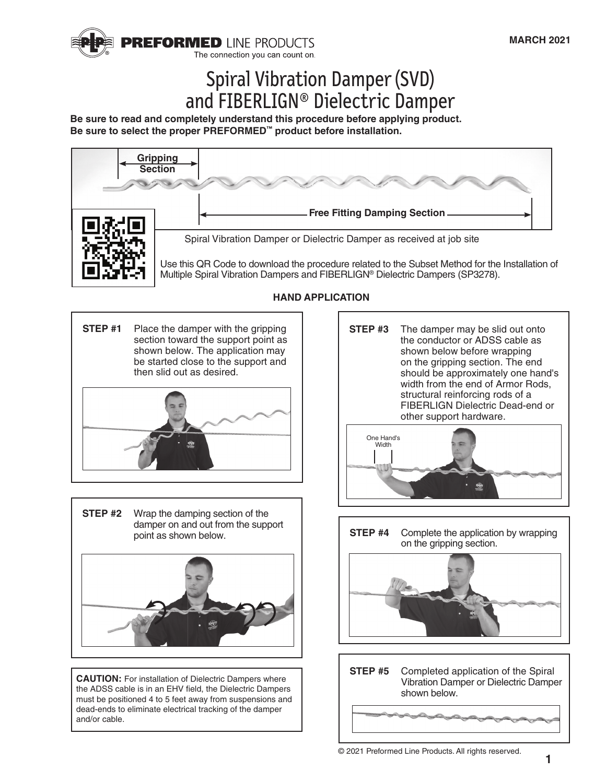

# Spiral Vibration Damper (SVD) and FIBERLIGN® Dielectric Damper

**Be sure to read and completely understand this procedure before applying product. Be sure to select the proper PREFORMED™ product before installation.**



Place the damper with the gripping section toward the support point as shown below. The application may be started close to the support and then slid out as desired. **STEP #1** 

Wrap the damping section of the damper on and out from the support point as shown below. **STEP #2** 

**CAUTION:** For installation of Dielectric Dampers where the ADSS cable is in an EHV field, the Dielectric Dampers must be positioned 4 to 5 feet away from suspensions and dead-ends to eliminate electrical tracking of the damper and/or cable.

## **HAND APPLICATION**

Complete the application by wrapping on the gripping section. **STEP #4**  Completed application of the Spiral Vibration Damper or Dielectric Damper shown below. **STEP #5**  The damper may be slid out onto the conductor or ADSS cable as shown below before wrapping on the gripping section. The end should be approximately one hand's width from the end of Armor Rods, structural reinforcing rods of a FIBERLIGN Dielectric Dead-end or other support hardware. **STEP #3**  One Hand's **Width**